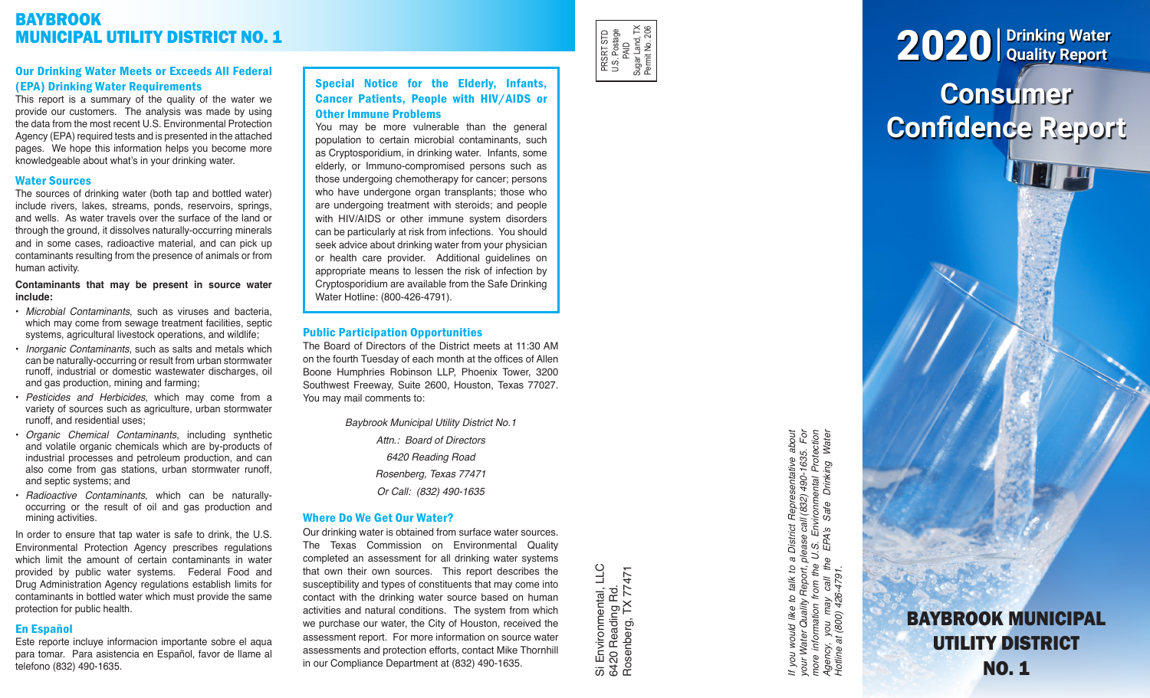# BAYBROOK MUNICIPAL UTILITY DISTRICT NO. 1

# Our Drinking Water Meets or Exceeds All Federal (EPA) Drinking Water Requirements

This report is a summary of the quality of the water we provide our customers. The analysis was made by using the data from the most recent U.S. Environmental Protection Agency (EPA) required tests and is presented in the attached pages. We hope this information helps you become more knowledgeable about what's in your drinking water.

# Water Sources

The sources of drinking water (both tap and bottled water) include rivers, lakes, streams, ponds, reservoirs, springs, and wells. As water travels over the surface of the land or through the ground, it dissolves naturally-occurring minerals and in some cases, radioactive material, and can pick up contaminants resulting from the presence of animals or from human activity.

#### **Contaminants that may be present in source water include:**

- *Microbial Contaminants*, such as viruses and bacteria, which may come from sewage treatment facilities, septic systems, agricultural livestock operations, and wildlife;
- *Inorganic Contaminants*, such as salts and metals which can be naturally-occurring or result from urban stormwater runoff, industrial or domestic wastewater discharges, oil and gas production, mining and farming;
- *Pesticides and Herbicides*, which may come from a variety of sources such as agriculture, urban stormwater runoff, and residential uses;
- *Organic Chemical Contaminants*, including synthetic and volatile organic chemicals which are by-products of industrial processes and petroleum production, and can also come from gas stations, urban stormwater runoff, and septic systems; and
- *Radioactive Contaminants*, which can be naturallyoccurring or the result of oil and gas production and mining activities.

In order to ensure that tap water is safe to drink, the U.S. Environmental Protection Agency prescribes regulations which limit the amount of certain contaminants in water provided by public water systems. Federal Food and Drug Administration Agency regulations establish limits for contaminants in bottled water which must provide the same protection for public health.

## En Español

Este reporte incluye informacion importante sobre el aqua para tomar. Para asistencia en Español, favor de llame al telefono (832) 490-1635.

# Special Notice for the Elderly, Infants, Cancer Patients, People with HIV/AIDS or Other Immune Problems

You may be more vulnerable than the general population to certain microbial contaminants, such as Cryptosporidium, in drinking water. Infants, some elderly, or Immuno-compromised persons such as those undergoing chemotherapy for cancer; persons who have undergone organ transplants; those who are undergoing treatment with steroids; and people with HIV/AIDS or other immune system disorders can be particularly at risk from infections. You should seek advice about drinking water from your physician or health care provider. Additional guidelines on appropriate means to lessen the risk of infection by Cryptosporidium are available from the Safe Drinking Water Hotline: (800-426-4791).

# Public Participation Opportunities

The Board of Directors of the District meets at 11:30 AM on the fourth Tuesday of each month at the offices of Allen Boone Humphries Robinson LLP, Phoenix Tower, 3200 Southwest Freeway, Suite 2600, Houston, Texas 77027. You may mail comments to:

> *Baybrook Municipal Utility District No.1 Attn.: Board of Directors 6420 Reading Road Rosenberg, Texas 77471 Or Call: (832) 490-1635*

## Where Do We Get Our Water?

Our drinking water is obtained from surface water sources. The Texas Commission on Environmental Quality completed an assessment for all drinking water systems that own their own sources. This report describes the susceptibility and types of constituents that may come into contact with the drinking water source based on human activities and natural conditions. The system from which we purchase our water, the City of Houston, received the assessment report. For more information on source water assessments and protection efforts, contact Mike Thornhill in our Compliance Department at (832) 490-1635.

Si Environmental, LLC<br>6420 Reading Rd.<br>Rosenberg, TX 77471 Si Environmental, LLC Rosenberg, TX 77471 6420 Reading Rd.

PRSRT STD U.S. Postage PRSRT STD<br>U.S. Postage<br>PAID<br>Sugar Land, TX<br>Pemit No. 206 Sugar Land, TX Permit No. 206

> *If you would like to talk to a District Representative about your Water Quality Report, please call (832) 490-1635. For more information from the U.S. Environmental Protection Agency, you may call the EPA's Safe Drinking Water*  If you would like to talk to a District Representative about<br>your Water Quality Report, please call (832) 490-1635. For<br>more information from the U.S. Environmental Protection<br>Agency, you may call the EPA's Safe Drinking W you may call th<br>at (800) 426-4791. *Hotline at (800) 426-4791.* Agency,<br>Hotline a

# **Consumer Confidence Report** 2020 **Drinking Water Quality Report**

BAYBROOK MUNICIPAL UTILITY DISTRICT NO. 1